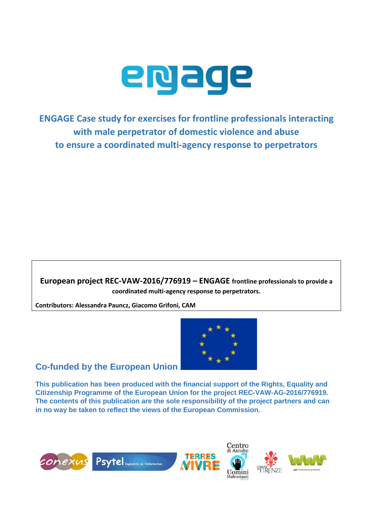

**ENGAGE Case study for exercises for frontline professionals interacting with male perpetrator of domestic violence and abuse to ensure a coordinated multi-agency response to perpetrators**

**European project REC-VAW-2016/776919 – ENGAGE frontline professionals to provide a coordinated multi-agency response to perpetrators.** 

**Contributors: Alessandra Pauncz, Giacomo Grifoni, CAM**



#### **Co-funded by the European Union**

**This publication has been produced with the financial support of the Rights, Equality and Citizenship Programme of the European Union for the project REC-VAW-AG-2016/776919. The contents of this publication are the sole responsibility of the project partners and can in no way be taken to reflect the views of the European Commission.**